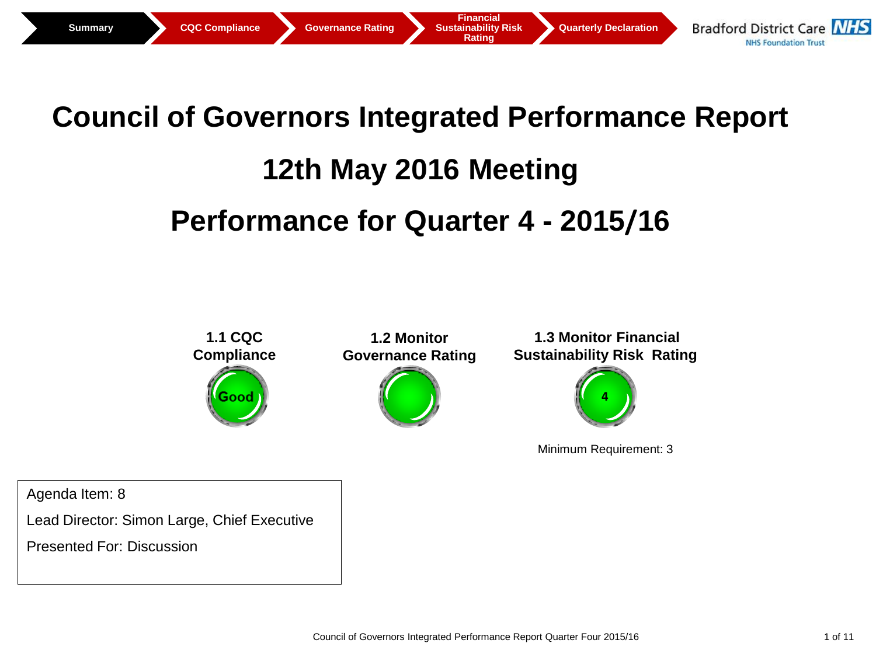

# **Council of Governors Integrated Performance Report**

# **12th May 2016 Meeting**

# **Performance for Quarter 4 - 2015/16**



Minimum Requirement: 3

Agenda Item: 8

Lead Director: Simon Large, Chief Executive

Presented For: Discussion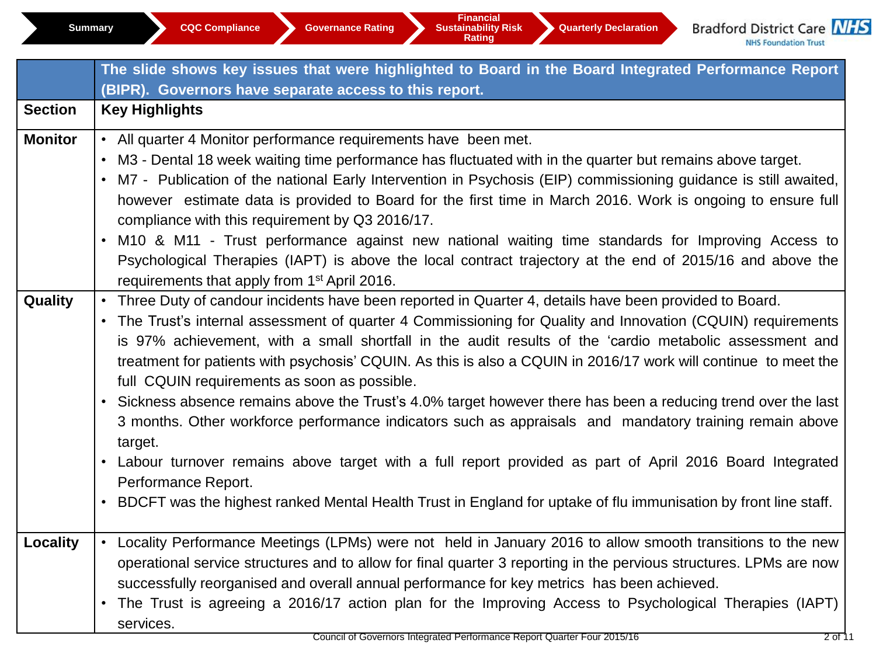|                | The slide shows key issues that were highlighted to Board in the Board Integrated Performance Report<br>(BIPR). Governors have separate access to this report.                                                                                                                                                                                                                                                                                                                                                                                                                                                                                                                                                                                                                                                                                                                                                                                                                                         |
|----------------|--------------------------------------------------------------------------------------------------------------------------------------------------------------------------------------------------------------------------------------------------------------------------------------------------------------------------------------------------------------------------------------------------------------------------------------------------------------------------------------------------------------------------------------------------------------------------------------------------------------------------------------------------------------------------------------------------------------------------------------------------------------------------------------------------------------------------------------------------------------------------------------------------------------------------------------------------------------------------------------------------------|
| <b>Section</b> | <b>Key Highlights</b>                                                                                                                                                                                                                                                                                                                                                                                                                                                                                                                                                                                                                                                                                                                                                                                                                                                                                                                                                                                  |
| <b>Monitor</b> | • All quarter 4 Monitor performance requirements have been met.<br>• M3 - Dental 18 week waiting time performance has fluctuated with in the quarter but remains above target.<br>• M7 - Publication of the national Early Intervention in Psychosis (EIP) commissioning guidance is still awaited,<br>however estimate data is provided to Board for the first time in March 2016. Work is ongoing to ensure full<br>compliance with this requirement by Q3 2016/17.<br>• M10 & M11 - Trust performance against new national waiting time standards for Improving Access to<br>Psychological Therapies (IAPT) is above the local contract trajectory at the end of 2015/16 and above the<br>requirements that apply from 1 <sup>st</sup> April 2016.                                                                                                                                                                                                                                                  |
| Quality        | • Three Duty of candour incidents have been reported in Quarter 4, details have been provided to Board.<br>• The Trust's internal assessment of quarter 4 Commissioning for Quality and Innovation (CQUIN) requirements<br>is 97% achievement, with a small shortfall in the audit results of the 'cardio metabolic assessment and<br>treatment for patients with psychosis' CQUIN. As this is also a CQUIN in 2016/17 work will continue to meet the<br>full CQUIN requirements as soon as possible.<br>• Sickness absence remains above the Trust's 4.0% target however there has been a reducing trend over the last<br>3 months. Other workforce performance indicators such as appraisals and mandatory training remain above<br>target.<br>• Labour turnover remains above target with a full report provided as part of April 2016 Board Integrated<br>Performance Report.<br>• BDCFT was the highest ranked Mental Health Trust in England for uptake of flu immunisation by front line staff. |
| Locality       | • Locality Performance Meetings (LPMs) were not held in January 2016 to allow smooth transitions to the new<br>operational service structures and to allow for final quarter 3 reporting in the pervious structures. LPMs are now<br>successfully reorganised and overall annual performance for key metrics has been achieved.<br>• The Trust is agreeing a 2016/17 action plan for the Improving Access to Psychological Therapies (IAPT)<br>services.                                                                                                                                                                                                                                                                                                                                                                                                                                                                                                                                               |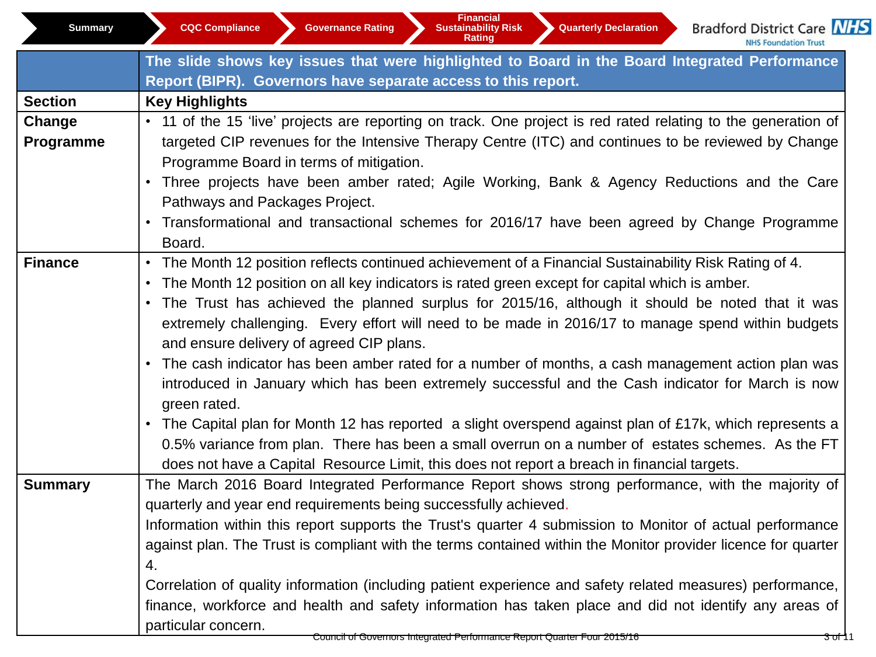**Bradford District Care NHS** NHS Foundation Trust

|                | The slide shows key issues that were highlighted to Board in the Board Integrated Performance                 |  |  |  |  |  |  |  |
|----------------|---------------------------------------------------------------------------------------------------------------|--|--|--|--|--|--|--|
|                | Report (BIPR). Governors have separate access to this report.                                                 |  |  |  |  |  |  |  |
| <b>Section</b> | <b>Key Highlights</b>                                                                                         |  |  |  |  |  |  |  |
| Change         | • 11 of the 15 'live' projects are reporting on track. One project is red rated relating to the generation of |  |  |  |  |  |  |  |
| Programme      | targeted CIP revenues for the Intensive Therapy Centre (ITC) and continues to be reviewed by Change           |  |  |  |  |  |  |  |
|                | Programme Board in terms of mitigation.                                                                       |  |  |  |  |  |  |  |
|                | • Three projects have been amber rated; Agile Working, Bank & Agency Reductions and the Care                  |  |  |  |  |  |  |  |
|                | Pathways and Packages Project.                                                                                |  |  |  |  |  |  |  |
|                | • Transformational and transactional schemes for 2016/17 have been agreed by Change Programme                 |  |  |  |  |  |  |  |
|                | Board.                                                                                                        |  |  |  |  |  |  |  |
| <b>Finance</b> | • The Month 12 position reflects continued achievement of a Financial Sustainability Risk Rating of 4.        |  |  |  |  |  |  |  |
|                | • The Month 12 position on all key indicators is rated green except for capital which is amber.               |  |  |  |  |  |  |  |
|                | • The Trust has achieved the planned surplus for 2015/16, although it should be noted that it was             |  |  |  |  |  |  |  |
|                | extremely challenging. Every effort will need to be made in 2016/17 to manage spend within budgets            |  |  |  |  |  |  |  |
|                | and ensure delivery of agreed CIP plans.                                                                      |  |  |  |  |  |  |  |
|                | • The cash indicator has been amber rated for a number of months, a cash management action plan was           |  |  |  |  |  |  |  |
|                | introduced in January which has been extremely successful and the Cash indicator for March is now             |  |  |  |  |  |  |  |
|                | green rated.                                                                                                  |  |  |  |  |  |  |  |
|                | • The Capital plan for Month 12 has reported a slight overspend against plan of £17k, which represents a      |  |  |  |  |  |  |  |
|                | 0.5% variance from plan. There has been a small overrun on a number of estates schemes. As the FT             |  |  |  |  |  |  |  |
|                | does not have a Capital Resource Limit, this does not report a breach in financial targets.                   |  |  |  |  |  |  |  |
| <b>Summary</b> | The March 2016 Board Integrated Performance Report shows strong performance, with the majority of             |  |  |  |  |  |  |  |
|                | quarterly and year end requirements being successfully achieved.                                              |  |  |  |  |  |  |  |
|                | Information within this report supports the Trust's quarter 4 submission to Monitor of actual performance     |  |  |  |  |  |  |  |
|                | against plan. The Trust is compliant with the terms contained within the Monitor provider licence for quarter |  |  |  |  |  |  |  |
|                | 4.                                                                                                            |  |  |  |  |  |  |  |
|                | Correlation of quality information (including patient experience and safety related measures) performance,    |  |  |  |  |  |  |  |
|                | finance, workforce and health and safety information has taken place and did not identify any areas of        |  |  |  |  |  |  |  |
|                | particular concern.                                                                                           |  |  |  |  |  |  |  |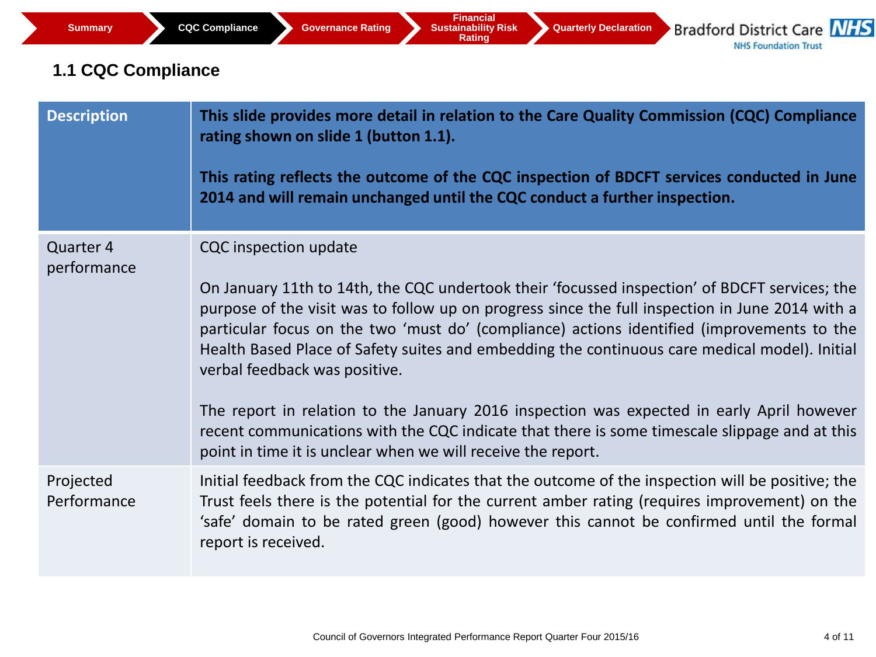# **1.1 CQC Compliance**

| <b>Description</b>       | This slide provides more detail in relation to the Care Quality Commission (CQC) Compliance<br>rating shown on slide 1 (button 1.1).<br>This rating reflects the outcome of the CQC inspection of BDCFT services conducted in June<br>2014 and will remain unchanged until the CQC conduct a further inspection.                                                                                                                                                                                                                                                                                                                                                                                                               |
|--------------------------|--------------------------------------------------------------------------------------------------------------------------------------------------------------------------------------------------------------------------------------------------------------------------------------------------------------------------------------------------------------------------------------------------------------------------------------------------------------------------------------------------------------------------------------------------------------------------------------------------------------------------------------------------------------------------------------------------------------------------------|
| Quarter 4<br>performance | <b>CQC</b> inspection update<br>On January 11th to 14th, the CQC undertook their 'focussed inspection' of BDCFT services; the<br>purpose of the visit was to follow up on progress since the full inspection in June 2014 with a<br>particular focus on the two 'must do' (compliance) actions identified (improvements to the<br>Health Based Place of Safety suites and embedding the continuous care medical model). Initial<br>verbal feedback was positive.<br>The report in relation to the January 2016 inspection was expected in early April however<br>recent communications with the CQC indicate that there is some timescale slippage and at this<br>point in time it is unclear when we will receive the report. |
| Projected<br>Performance | Initial feedback from the CQC indicates that the outcome of the inspection will be positive; the<br>Trust feels there is the potential for the current amber rating (requires improvement) on the<br>'safe' domain to be rated green (good) however this cannot be confirmed until the formal<br>report is received.                                                                                                                                                                                                                                                                                                                                                                                                           |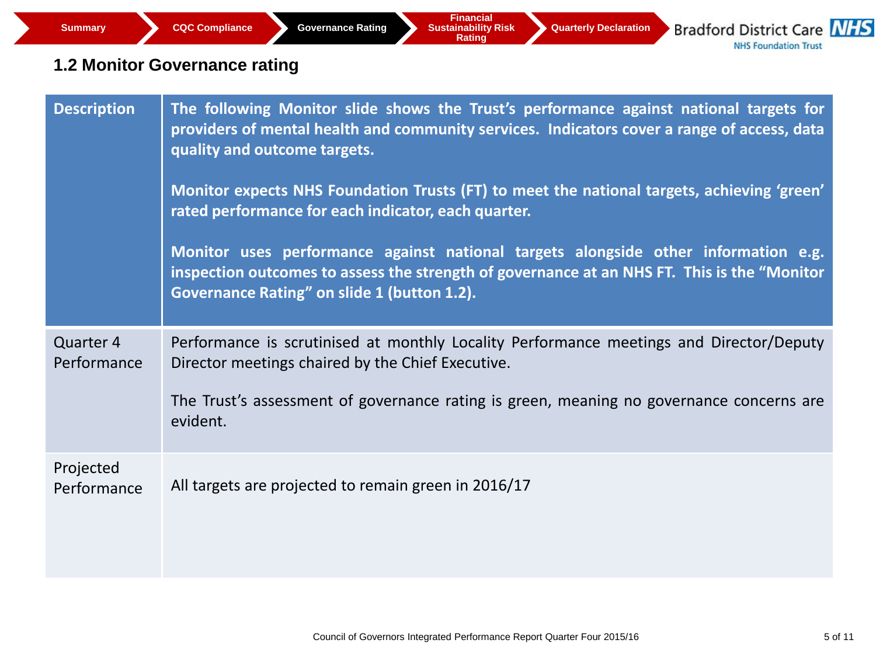# **1.2 Monitor Governance rating**

| <b>Description</b>       | The following Monitor slide shows the Trust's performance against national targets for<br>providers of mental health and community services. Indicators cover a range of access, data<br>quality and outcome targets.<br>Monitor expects NHS Foundation Trusts (FT) to meet the national targets, achieving 'green'<br>rated performance for each indicator, each quarter.<br>Monitor uses performance against national targets alongside other information e.g.<br>inspection outcomes to assess the strength of governance at an NHS FT. This is the "Monitor<br>Governance Rating" on slide 1 (button 1.2). |
|--------------------------|----------------------------------------------------------------------------------------------------------------------------------------------------------------------------------------------------------------------------------------------------------------------------------------------------------------------------------------------------------------------------------------------------------------------------------------------------------------------------------------------------------------------------------------------------------------------------------------------------------------|
| Quarter 4<br>Performance | Performance is scrutinised at monthly Locality Performance meetings and Director/Deputy<br>Director meetings chaired by the Chief Executive.<br>The Trust's assessment of governance rating is green, meaning no governance concerns are<br>evident.                                                                                                                                                                                                                                                                                                                                                           |
| Projected<br>Performance | All targets are projected to remain green in 2016/17                                                                                                                                                                                                                                                                                                                                                                                                                                                                                                                                                           |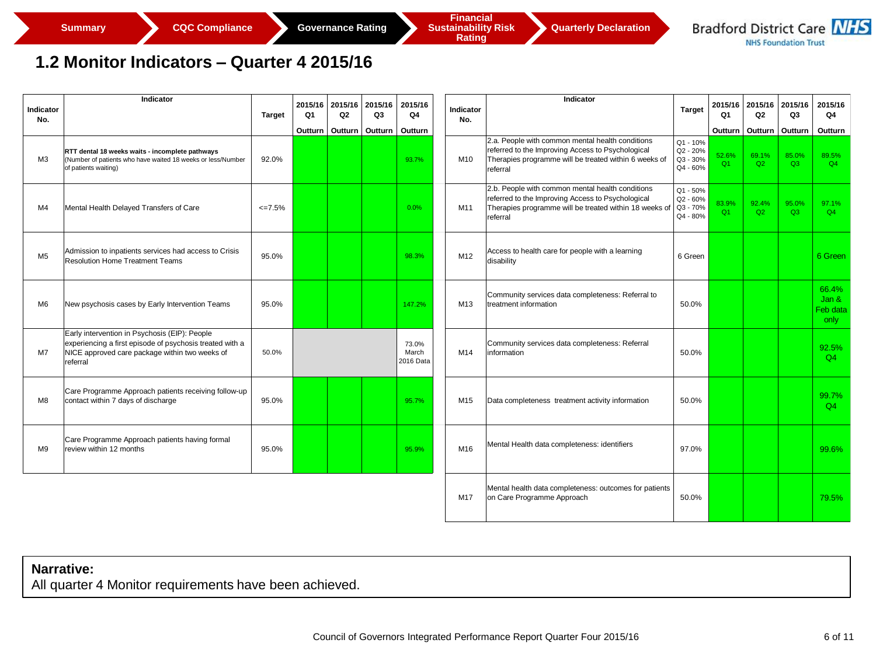**Rating** 

### **1.2 Monitor Indicators – Quarter 4 2015/16**

| Indicator<br>No. | Indicator                                                                                                                                                                      | Target      | Q1 | 2015/16 2015/16<br>Q2       | 2015/16<br>Q3 | 2015/16<br>Q4               | Indicator<br>No. | Indicator                                                                                                                                                                   | <b>Target</b>                                | 2015/16<br>Q1           | 2015/16<br>Q2 | 2015/16<br>Q3     | 2015/16<br>Q4                      |
|------------------|--------------------------------------------------------------------------------------------------------------------------------------------------------------------------------|-------------|----|-----------------------------|---------------|-----------------------------|------------------|-----------------------------------------------------------------------------------------------------------------------------------------------------------------------------|----------------------------------------------|-------------------------|---------------|-------------------|------------------------------------|
|                  |                                                                                                                                                                                |             |    | Outturn   Outturn   Outturn |               | Outturn                     |                  |                                                                                                                                                                             |                                              | Outturn                 |               | Outturn   Outturn | Outturn                            |
| ΜЗ               | RTT dental 18 weeks waits - incomplete pathways<br>(Number of patients who have waited 18 weeks or less/Number<br>of patients waiting)                                         | 92.0%       |    |                             |               | 93.7%                       | M10              | 2.a. People with common mental health conditions<br>referred to the Improving Access to Psychological<br>Therapies programme will be treated within 6 weeks of<br>referral  | Q1 - 10%<br>Q2 - 20%<br>Q3 - 30%<br>Q4 - 60% | 52.6%<br>O <sub>1</sub> | 69.1%<br>Q2   | 85.0%<br>O3       | 89.5%<br>Q4                        |
| M4               | Mental Health Delayed Transfers of Care                                                                                                                                        | $\leq$ 7.5% |    |                             |               | 0.0%                        | M11              | 2.b. People with common mental health conditions<br>referred to the Improving Access to Psychological<br>Therapies programme will be treated within 18 weeks of<br>referral | Q1 - 50%<br>Q2 - 60%<br>Q3 - 70%<br>Q4 - 80% | 83.9%<br>O1             | 92.4%<br>Q2   | 95.0%<br>O3       | 97.1%<br>Q4                        |
| M <sub>5</sub>   | Admission to inpatients services had access to Crisis<br><b>Resolution Home Treatment Teams</b>                                                                                | 95.0%       |    |                             |               | 98.3%                       | M12              | Access to health care for people with a learning<br>disability                                                                                                              | 6 Green                                      |                         |               |                   | 6 Green                            |
| M6               | New psychosis cases by Early Intervention Teams                                                                                                                                | 95.0%       |    |                             |               | 147.2%                      | M13              | Community services data completeness: Referral to<br>treatment information                                                                                                  | 50.0%                                        |                         |               |                   | 66.4%<br>Jan &<br>Feb data<br>only |
| M7               | Early intervention in Psychosis (EIP): People<br>experiencing a first episode of psychosis treated with a<br>NICE approved care package within two weeks of<br><b>referral</b> | 50.0%       |    |                             |               | 73.0%<br>March<br>2016 Data | M14              | Community services data completeness: Referral<br>information                                                                                                               | 50.0%                                        |                         |               |                   | 92.5%<br>Q4                        |
| M8               | Care Programme Approach patients receiving follow-up<br>contact within 7 days of discharge                                                                                     | 95.0%       |    |                             |               | 95.7%                       | M15              | Data completeness treatment activity information                                                                                                                            | 50.0%                                        |                         |               |                   | 99.7%<br>Q4                        |
| M <sub>9</sub>   | Care Programme Approach patients having formal<br>review within 12 months                                                                                                      | 95.0%       |    |                             |               | 95.9%                       | M16              | Mental Health data completeness: identifiers                                                                                                                                | 97.0%                                        |                         |               |                   | 99.6%                              |
|                  |                                                                                                                                                                                |             |    |                             |               |                             | M17              | Mental health data completeness: outcomes for patients<br>on Care Programme Approach                                                                                        | 50.0%                                        |                         |               |                   | 79.5%                              |

#### **Narrative:**

All quarter 4 Monitor requirements have been achieved.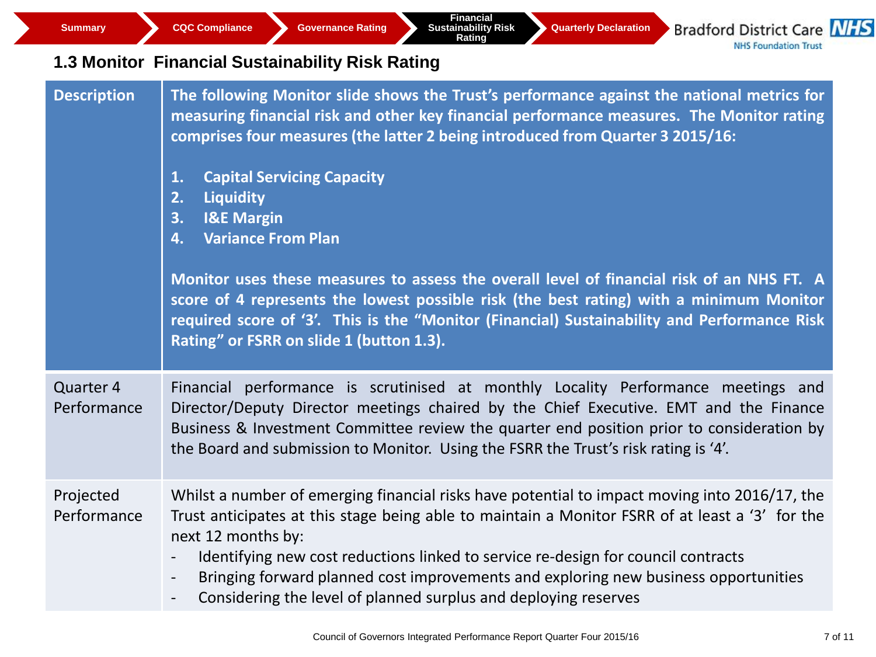**Summary CQC Compliance Governance Rating** 

**Financial Sustainability Risk Rating** 

**Quarterly Declaration**

**Bradford District Care NHS NHS Foundation Trust** 

# **1.3 Monitor Financial Sustainability Risk Rating**

| <b>Description</b>       | The following Monitor slide shows the Trust's performance against the national metrics for<br>measuring financial risk and other key financial performance measures. The Monitor rating<br>comprises four measures (the latter 2 being introduced from Quarter 3 2015/16:<br><b>Capital Servicing Capacity</b><br>1.<br>Liquidity<br>2.<br>3.<br><b>I&amp;E Margin</b><br><b>Variance From Plan</b><br>4.<br>Monitor uses these measures to assess the overall level of financial risk of an NHS FT. A<br>score of 4 represents the lowest possible risk (the best rating) with a minimum Monitor<br>required score of '3'. This is the "Monitor (Financial) Sustainability and Performance Risk<br>Rating" or FSRR on slide 1 (button 1.3). |
|--------------------------|----------------------------------------------------------------------------------------------------------------------------------------------------------------------------------------------------------------------------------------------------------------------------------------------------------------------------------------------------------------------------------------------------------------------------------------------------------------------------------------------------------------------------------------------------------------------------------------------------------------------------------------------------------------------------------------------------------------------------------------------|
| Quarter 4<br>Performance | Financial performance is scrutinised at monthly Locality Performance meetings and<br>Director/Deputy Director meetings chaired by the Chief Executive. EMT and the Finance<br>Business & Investment Committee review the quarter end position prior to consideration by<br>the Board and submission to Monitor. Using the FSRR the Trust's risk rating is '4'.                                                                                                                                                                                                                                                                                                                                                                               |
| Projected<br>Performance | Whilst a number of emerging financial risks have potential to impact moving into 2016/17, the<br>Trust anticipates at this stage being able to maintain a Monitor FSRR of at least a '3' for the<br>next 12 months by:<br>Identifying new cost reductions linked to service re-design for council contracts<br>Bringing forward planned cost improvements and exploring new business opportunities<br>$\overline{\phantom{a}}$<br>Considering the level of planned surplus and deploying reserves<br>$-$                                                                                                                                                                                                                                     |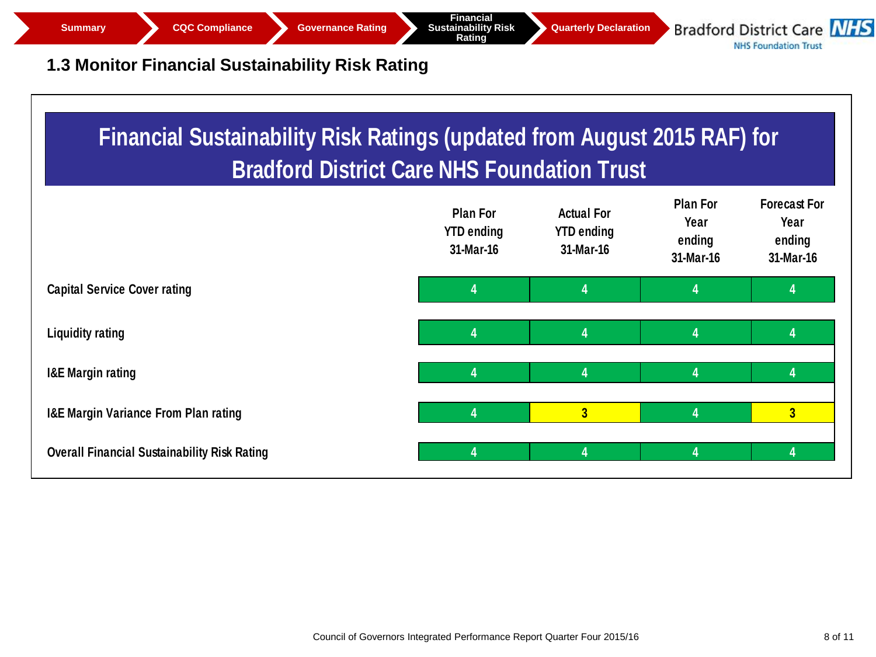

**Financial Sustainability Risk Rating** 

**Quarterly Declaration**

**Bradford District Care NHS NHS Foundation Trust** 

# **1.3 Monitor Financial Sustainability Risk Rating**

| <b>Financial Sustainability Risk Ratings (updated from August 2015 RAF) for</b><br><b>Bradford District Care NHS Foundation Trust</b> |                                                   |                                                     |                                                |                                                    |  |  |  |
|---------------------------------------------------------------------------------------------------------------------------------------|---------------------------------------------------|-----------------------------------------------------|------------------------------------------------|----------------------------------------------------|--|--|--|
|                                                                                                                                       | <b>Plan For</b><br><b>YTD ending</b><br>31-Mar-16 | <b>Actual For</b><br><b>YTD ending</b><br>31-Mar-16 | <b>Plan For</b><br>Year<br>ending<br>31-Mar-16 | <b>Forecast For</b><br>Year<br>ending<br>31-Mar-16 |  |  |  |
| <b>Capital Service Cover rating</b>                                                                                                   | 4                                                 | 4                                                   | 4                                              | 4                                                  |  |  |  |
| <b>Liquidity rating</b>                                                                                                               | 4                                                 | 4                                                   | 4                                              | 4                                                  |  |  |  |
| <b>I&amp;E Margin rating</b>                                                                                                          | 4                                                 | 4                                                   | 4                                              | 4                                                  |  |  |  |
| <b>I&amp;E Margin Variance From Plan rating</b>                                                                                       | 4                                                 | $\overline{\mathbf{3}}$                             | 4                                              | 3                                                  |  |  |  |
| <b>Overall Financial Sustainability Risk Rating</b>                                                                                   | 4                                                 | 4                                                   | 4                                              | 4                                                  |  |  |  |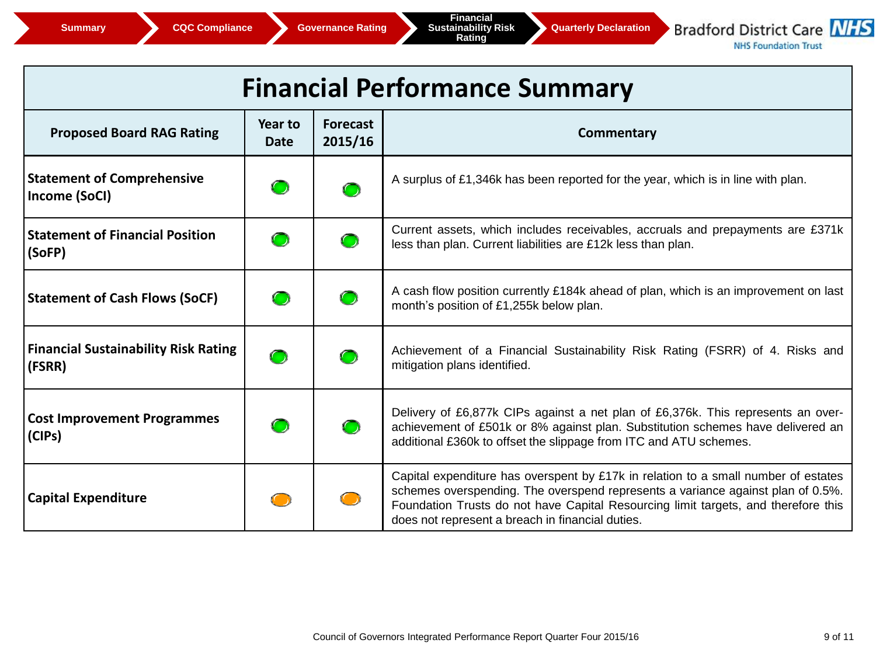

**NHS Foundation Trust** 

| <b>Financial Performance Summary</b>                  |                        |                            |                                                                                                                                                                                                                                                                                                                 |  |  |  |  |  |
|-------------------------------------------------------|------------------------|----------------------------|-----------------------------------------------------------------------------------------------------------------------------------------------------------------------------------------------------------------------------------------------------------------------------------------------------------------|--|--|--|--|--|
| <b>Proposed Board RAG Rating</b>                      | Year to<br><b>Date</b> | <b>Forecast</b><br>2015/16 | Commentary                                                                                                                                                                                                                                                                                                      |  |  |  |  |  |
| <b>Statement of Comprehensive</b><br>Income (SoCI)    |                        | ◠                          | A surplus of £1,346k has been reported for the year, which is in line with plan.                                                                                                                                                                                                                                |  |  |  |  |  |
| <b>Statement of Financial Position</b><br>(SoFP)      |                        | $\bullet$                  | Current assets, which includes receivables, accruals and prepayments are £371k<br>less than plan. Current liabilities are £12k less than plan.                                                                                                                                                                  |  |  |  |  |  |
| <b>Statement of Cash Flows (SoCF)</b>                 |                        |                            | A cash flow position currently £184k ahead of plan, which is an improvement on last<br>month's position of £1,255k below plan.                                                                                                                                                                                  |  |  |  |  |  |
| <b>Financial Sustainability Risk Rating</b><br>(FSRR) | $\bullet$              |                            | Achievement of a Financial Sustainability Risk Rating (FSRR) of 4. Risks and<br>mitigation plans identified.                                                                                                                                                                                                    |  |  |  |  |  |
| <b>Cost Improvement Programmes</b><br>(CIPs)          |                        | $\bullet$                  | Delivery of £6,877k CIPs against a net plan of £6,376k. This represents an over-<br>achievement of £501k or 8% against plan. Substitution schemes have delivered an<br>additional £360k to offset the slippage from ITC and ATU schemes.                                                                        |  |  |  |  |  |
| <b>Capital Expenditure</b>                            |                        |                            | Capital expenditure has overspent by £17k in relation to a small number of estates<br>schemes overspending. The overspend represents a variance against plan of 0.5%.<br>Foundation Trusts do not have Capital Resourcing limit targets, and therefore this<br>does not represent a breach in financial duties. |  |  |  |  |  |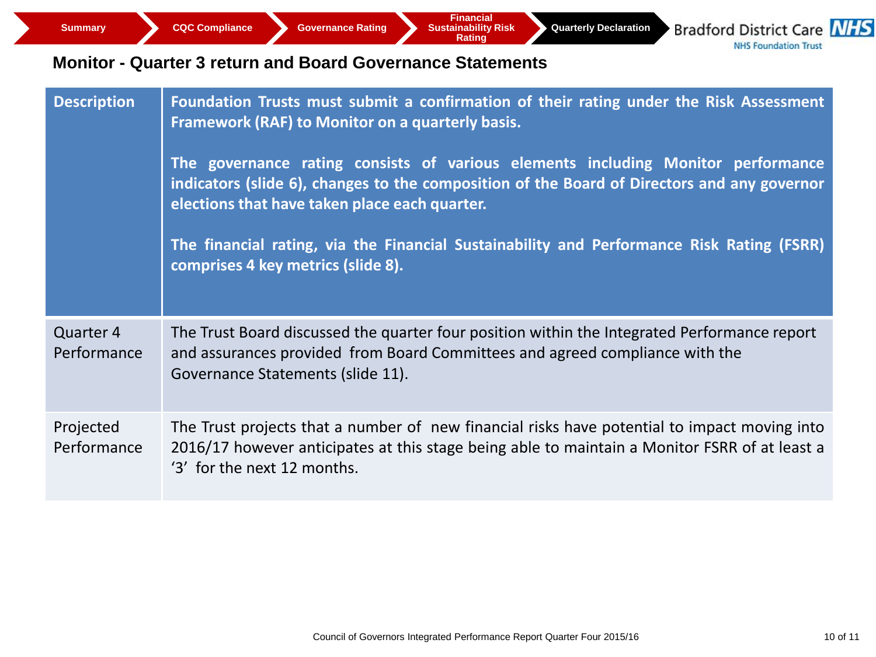**Quarterly Declaration**

**Bradford District Care NHS NHS Foundation Trust** 

### **Monitor - Quarter 3 return and Board Governance Statements**

| <b>Description</b>       | Foundation Trusts must submit a confirmation of their rating under the Risk Assessment<br>Framework (RAF) to Monitor on a quarterly basis.<br>The governance rating consists of various elements including Monitor performance<br>indicators (slide 6), changes to the composition of the Board of Directors and any governor<br>elections that have taken place each quarter.<br>The financial rating, via the Financial Sustainability and Performance Risk Rating (FSRR)<br>comprises 4 key metrics (slide 8). |
|--------------------------|-------------------------------------------------------------------------------------------------------------------------------------------------------------------------------------------------------------------------------------------------------------------------------------------------------------------------------------------------------------------------------------------------------------------------------------------------------------------------------------------------------------------|
| Quarter 4<br>Performance | The Trust Board discussed the quarter four position within the Integrated Performance report<br>and assurances provided from Board Committees and agreed compliance with the<br>Governance Statements (slide 11).                                                                                                                                                                                                                                                                                                 |
| Projected<br>Performance | The Trust projects that a number of new financial risks have potential to impact moving into<br>2016/17 however anticipates at this stage being able to maintain a Monitor FSRR of at least a<br>'3' for the next 12 months.                                                                                                                                                                                                                                                                                      |